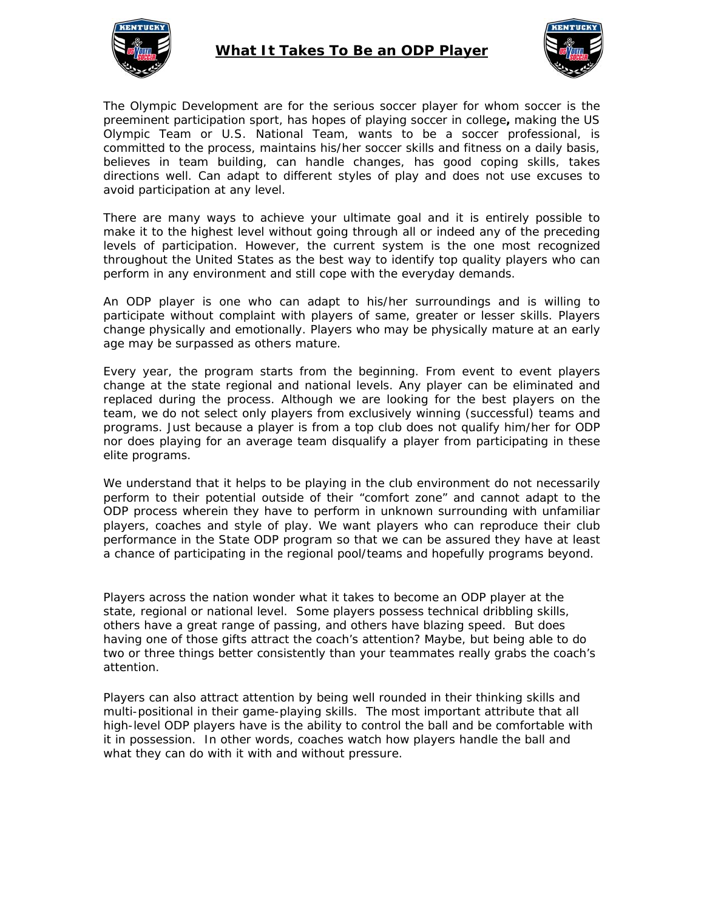

## **What It Takes To Be an ODP Player**



The Olympic Development are for the serious soccer player for whom soccer is the preeminent participation sport, has hopes of playing soccer in college**,** making the US Olympic Team or U.S. National Team, wants to be a soccer professional, is committed to the process, maintains his/her soccer skills and fitness on a daily basis, believes in team building, can handle changes, has good coping skills, takes directions well. Can adapt to different styles of play and does not use excuses to avoid participation at any level.

There are many ways to achieve your ultimate goal and it is entirely possible to make it to the highest level without going through all or indeed any of the preceding levels of participation. However, the current system is the one most recognized throughout the United States as the best way to identify top quality players who can perform in any environment and still cope with the everyday demands.

An ODP player is one who can adapt to his/her surroundings and is willing to participate without complaint with players of same, greater or lesser skills. Players change physically and emotionally. Players who may be physically mature at an early age may be surpassed as others mature.

Every year, the program starts from the beginning. From event to event players change at the state regional and national levels. Any player can be eliminated and replaced during the process. Although we are looking for the best players on the team, we do not select only players from exclusively winning (successful) teams and programs. Just because a player is from a top club does not qualify him/her for ODP nor does playing for an average team disqualify a player from participating in these elite programs.

We understand that it helps to be playing in the club environment do not necessarily perform to their potential outside of their "comfort zone" and cannot adapt to the ODP process wherein they have to perform in unknown surrounding with unfamiliar players, coaches and style of play. We want players who can reproduce their club performance in the State ODP program so that we can be assured they have at least a chance of participating in the regional pool/teams and hopefully programs beyond.

Players across the nation wonder what it takes to become an ODP player at the state, regional or national level. Some players possess technical dribbling skills, others have a great range of passing, and others have blazing speed. But does having one of those gifts attract the coach's attention? Maybe, but being able to do *two or three things* better *consistently* than your teammates really grabs the coach's attention.

Players can also attract attention by being well rounded in their thinking skills and multi-positional in their game-playing skills. The most important attribute that all high-level ODP players have is the ability to control the ball and be comfortable with it in possession. In other words, coaches watch how players handle the ball and what they can do with it with and without pressure.